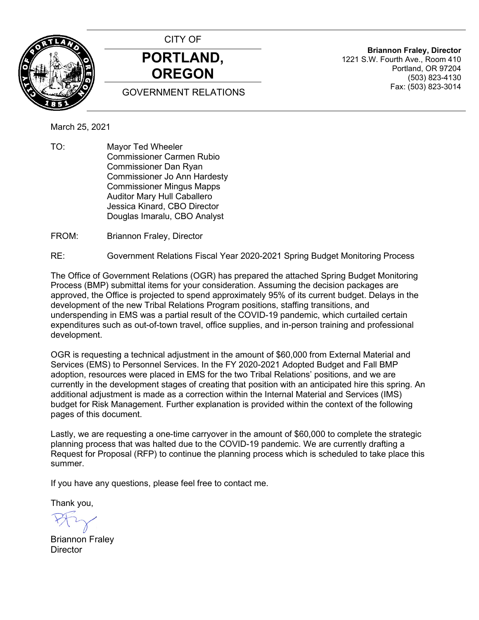

CITY OF **PORTLAND, OREGON**

GOVERNMENT RELATIONS

**Briannon Fraley, Director** 1221 S.W. Fourth Ave., Room 410 Portland, OR 97204 (503) 823-4130 Fax: (503) 823-3014

March 25, 2021

TO: Mayor Ted Wheeler Commissioner Carmen Rubio Commissioner Dan Ryan Commissioner Jo Ann Hardesty Commissioner Mingus Mapps Auditor Mary Hull Caballero Jessica Kinard, CBO Director Douglas Imaralu, CBO Analyst

FROM: Briannon Fraley, Director

RE: Government Relations Fiscal Year 2020-2021 Spring Budget Monitoring Process

The Office of Government Relations (OGR) has prepared the attached Spring Budget Monitoring Process (BMP) submittal items for your consideration. Assuming the decision packages are approved, the Office is projected to spend approximately 95% of its current budget. Delays in the development of the new Tribal Relations Program positions, staffing transitions, and underspending in EMS was a partial result of the COVID-19 pandemic, which curtailed certain expenditures such as out-of-town travel, office supplies, and in-person training and professional development.

OGR is requesting a technical adjustment in the amount of \$60,000 from External Material and Services (EMS) to Personnel Services. In the FY 2020-2021 Adopted Budget and Fall BMP adoption, resources were placed in EMS for the two Tribal Relations' positions, and we are currently in the development stages of creating that position with an anticipated hire this spring. An additional adjustment is made as a correction within the Internal Material and Services (IMS) budget for Risk Management. Further explanation is provided within the context of the following pages of this document.

Lastly, we are requesting a one-time carryover in the amount of \$60,000 to complete the strategic planning process that was halted due to the COVID-19 pandemic. We are currently drafting a Request for Proposal (RFP) to continue the planning process which is scheduled to take place this summer.

If you have any questions, please feel free to contact me.

Thank you,

Briannon Fraley **Director**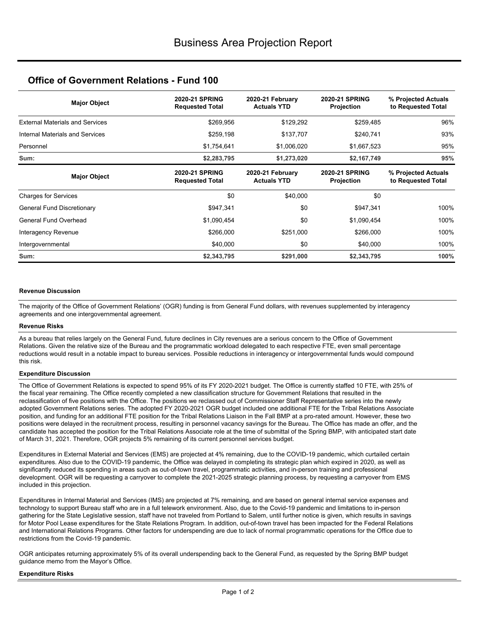# **Office of Government Relations - Fund 100**

| <b>Major Object</b>                    | <b>2020-21 SPRING</b><br><b>Requested Total</b> | 2020-21 February<br><b>Actuals YTD</b> | <b>2020-21 SPRING</b><br>Projection | % Projected Actuals<br>to Requested Total |
|----------------------------------------|-------------------------------------------------|----------------------------------------|-------------------------------------|-------------------------------------------|
| <b>External Materials and Services</b> | \$269,956                                       | \$129,292                              | \$259,485                           | 96%                                       |
| Internal Materials and Services        | \$259,198                                       | \$137,707                              | \$240,741                           | 93%                                       |
| Personnel                              | \$1,754,641                                     | \$1,006,020                            | \$1,667,523                         | 95%                                       |
| Sum:                                   | \$2,283,795                                     | \$1,273,020                            | \$2,167,749                         | 95%                                       |
| <b>Major Object</b>                    | <b>2020-21 SPRING</b><br><b>Requested Total</b> | 2020-21 February<br><b>Actuals YTD</b> | <b>2020-21 SPRING</b><br>Projection | % Projected Actuals<br>to Requested Total |
| <b>Charges for Services</b>            | \$0                                             | \$40,000                               | \$0                                 |                                           |
| General Fund Discretionary             | \$947,341                                       | \$0                                    | \$947,341                           | 100%                                      |
| General Fund Overhead                  | \$1,090,454                                     | \$0                                    | \$1,090,454                         | 100%                                      |
| Interagency Revenue                    | \$266,000                                       | \$251,000                              | \$266,000                           | 100%                                      |
| Intergovernmental                      | \$40,000                                        | \$0                                    | \$40,000                            | 100%                                      |
| Sum:                                   | \$2,343,795                                     | \$291,000                              | \$2,343,795                         | 100%                                      |

#### **Revenue Discussion**

The majority of the Office of Government Relations' (OGR) funding is from General Fund dollars, with revenues supplemented by interagency agreements and one intergovernmental agreement.

#### **Revenue Risks**

As a bureau that relies largely on the General Fund, future declines in City revenues are a serious concern to the Office of Government Relations. Given the relative size of the Bureau and the programmatic workload delegated to each respective FTE, even small percentage reductions would result in a notable impact to bureau services. Possible reductions in interagency or intergovernmental funds would compound this risk.

#### **Expenditure Discussion**

The Office of Government Relations is expected to spend 95% of its FY 2020-2021 budget. The Office is currently staffed 10 FTE, with 25% of the fiscal year remaining. The Office recently completed a new classification structure for Government Relations that resulted in the reclassification of five positions with the Office. The positions we reclassed out of Commissioner Staff Representative series into the newly adopted Government Relations series. The adopted FY 2020-2021 OGR budget included one additional FTE for the Tribal Relations Associate position, and funding for an additional FTE position for the Tribal Relations Liaison in the Fall BMP at a pro-rated amount. However, these two positions were delayed in the recruitment process, resulting in personnel vacancy savings for the Bureau. The Office has made an offer, and the candidate has accepted the position for the Tribal Relations Associate role at the time of submittal of the Spring BMP, with anticipated start date of March 31, 2021. Therefore, OGR projects 5% remaining of its current personnel services budget.

Expenditures in External Material and Services (EMS) are projected at 4% remaining, due to the COVID-19 pandemic, which curtailed certain expenditures. Also due to the COVID-19 pandemic, the Office was delayed in completing its strategic plan which expired in 2020, as well as significantly reduced its spending in areas such as out-of-town travel, programmatic activities, and in-person training and professional development. OGR will be requesting a carryover to complete the 2021-2025 strategic planning process, by requesting a carryover from EMS included in this projection.

Expenditures in Internal Material and Services (IMS) are projected at 7% remaining, and are based on general internal service expenses and technology to support Bureau staff who are in a full telework environment. Also, due to the Covid-19 pandemic and limitations to in-person gathering for the State Legislative session, staff have not traveled from Portland to Salem, until further notice is given, which results in savings for Motor Pool Lease expenditures for the State Relations Program. In addition, out-of-town travel has been impacted for the Federal Relations and International Relations Programs. Other factors for underspending are due to lack of normal programmatic operations for the Office due to restrictions from the Covid-19 pandemic.

OGR anticipates returning approximately 5% of its overall underspending back to the General Fund, as requested by the Spring BMP budget guidance memo from the Mayor's Office.

#### **Expenditure Risks**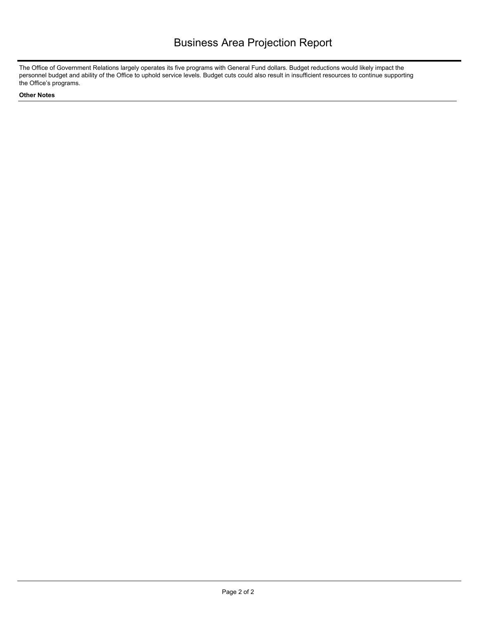The Office of Government Relations largely operates its five programs with General Fund dollars. Budget reductions would likely impact the personnel budget and ability of the Office to uphold service levels. Budget cuts could also result in insufficient resources to continue supporting the Office's programs.

#### **Other Notes**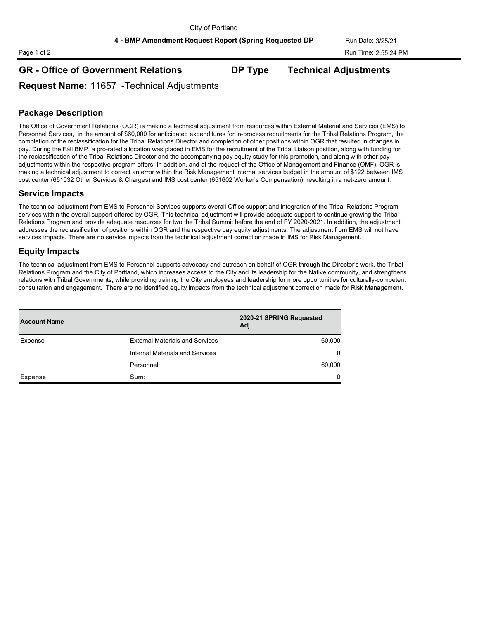**4 - BMP Amendment Request Report (Spring Requested DP Run Date: 3/25/21** 

# Page 1 of 2 Run Time: 2:55:24 PM

# **GR - Office of Government Relations DP Type Technical Adjustments**

**Request Name:** 11657 -Technical Adjustments

# **Package Description**

The Office of Government Relations (OGR) is making a technical adjustment from resources within External Material and Services (EMS) to Personnel Services, in the amount of \$60,000 for anticipated expenditures for in-process recruitments for the Tribal Relations Program, the completion of the reclassification for the Tribal Relations Director and completion of other positions within OGR that resulted in changes in pay. During the Fall BMP, a pro-rated allocation was placed in EMS for the recruitment of the Tribal Liaison position, along with funding for the reclassification of the Tribal Relations Director and the accompanying pay equity study for this promotion, and along with other pay adjustments within the respective program offers. In addition, and at the request of the Office of Management and Finance (OMF), OGR is making a technical adjustment to correct an error within the Risk Management internal services budget in the amount of \$122 between IMS cost center (651032 Other Services & Charges) and IMS cost center (651602 Worker's Compensation), resulting in a net-zero amount.

#### **Service Impacts**

The technical adjustment from EMS to Personnel Services supports overall Office support and integration of the Tribal Relations Program services within the overall support offered by OGR. This technical adjustment will provide adequate support to continue growing the Tribal Relations Program and provide adequate resources for two the Tribal Summit before the end of FY 2020-2021. In addition, the adjustment addresses the reclassification of positions within OGR and the respective pay equity adjustments. The adjustment from EMS will not have services impacts. There are no service impacts from the technical adjustment correction made in IMS for Risk Management.

## **Equity Impacts**

The technical adjustment from EMS to Personnel supports advocacy and outreach on behalf of OGR through the Director's work, the Tribal Relations Program and the City of Portland, which increases access to the City and its leadership for the Native community, and strengthens relations with Tribal Governments, while providing training the City employees and leadership for more opportunities for culturally-competent consultation and engagement. There are no identified equity impacts from the technical adjustment correction made for Risk Management.

| <b>Account Name</b> |                                        | 2020-21 SPRING Requested<br>Adj |
|---------------------|----------------------------------------|---------------------------------|
| Expense             | <b>External Materials and Services</b> | $-60,000$                       |
|                     | Internal Materials and Services        | $\Omega$                        |
|                     | Personnel                              | 60,000                          |
| <b>Expense</b>      | Sum:                                   | 0                               |